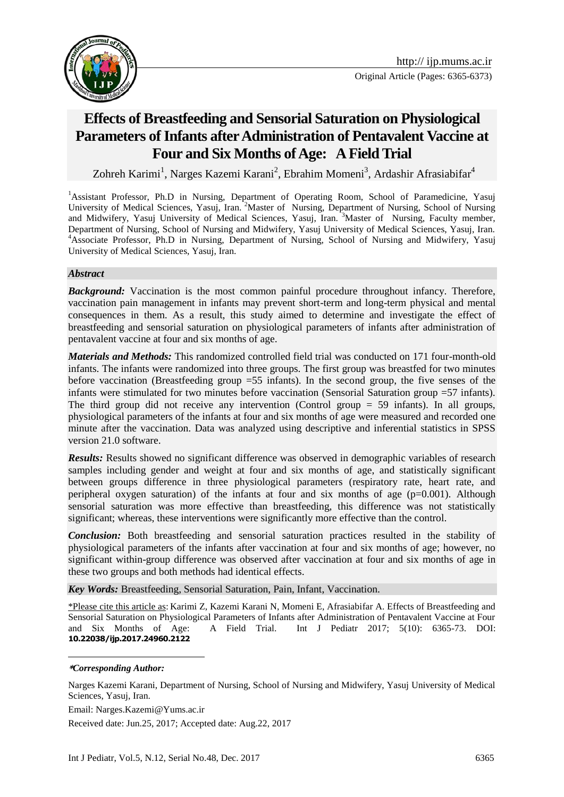

# **Effects of Breastfeeding and Sensorial Saturation on Physiological Parameters of Infants after Administration of Pentavalent Vaccine at Four and Six Months of Age: A Field Trial**

Zohreh Karimi<sup>1</sup>, Narges Kazemi Karani<sup>2</sup>, Ebrahim Momeni<sup>3</sup>, Ardashir Afrasiabifar<sup>4</sup>

<sup>1</sup>Assistant Professor, Ph.D in Nursing, Department of Operating Room, School of Paramedicine, Yasuj University of Medical Sciences, Yasuj, Iran. <sup>2</sup>Master of Nursing, Department of Nursing, School of Nursing and Midwifery, Yasuj University of Medical Sciences, Yasuj, Iran. <sup>3</sup>Master of Nursing, Faculty member, Department of Nursing, School of Nursing and Midwifery, Yasuj University of Medical Sciences, Yasuj, Iran. <sup>4</sup>Associate Professor, Ph.D in Nursing, Department of Nursing, School of Nursing and Midwifery, Yasuj University of Medical Sciences, Yasuj, Iran.

#### *Abstract*

**Background:** Vaccination is the most common painful procedure throughout infancy. Therefore, vaccination pain management in infants may prevent short-term and long-term physical and mental consequences in them. As a result, this study aimed to determine and investigate the effect of breastfeeding and sensorial saturation on physiological parameters of infants after administration of pentavalent vaccine at four and six months of age.

*Materials and Methods:* This randomized controlled field trial was conducted on 171 four-month-old infants. The infants were randomized into three groups. The first group was breastfed for two minutes before vaccination (Breastfeeding group =55 infants). In the second group, the five senses of the infants were stimulated for two minutes before vaccination (Sensorial Saturation group =57 infants). The third group did not receive any intervention (Control group = 59 infants). In all groups, physiological parameters of the infants at four and six months of age were measured and recorded one minute after the vaccination. Data was analyzed using descriptive and inferential statistics in SPSS version 21.0 software.

*Results:* Results showed no significant difference was observed in demographic variables of research samples including gender and weight at four and six months of age, and statistically significant between groups difference in three physiological parameters (respiratory rate, heart rate, and peripheral oxygen saturation) of the infants at four and six months of age  $(p=0.001)$ . Although sensorial saturation was more effective than breastfeeding, this difference was not statistically significant; whereas, these interventions were significantly more effective than the control.

*Conclusion:* Both breastfeeding and sensorial saturation practices resulted in the stability of physiological parameters of the infants after vaccination at four and six months of age; however, no significant within-group difference was observed after vaccination at four and six months of age in these two groups and both methods had identical effects.

*Key Words:* Breastfeeding, Sensorial Saturation, Pain, Infant, Vaccination.

\*Please cite this article as: Karimi Z, Kazemi Karani N, Momeni E, Afrasiabifar A. Effects of Breastfeeding and Sensorial Saturation on Physiological Parameters of Infants after Administration of Pentavalent Vaccine at Four<br>and Six Months of Age: A Field Trial. Int J Pediatr 2017; 5(10): 6365-73. DOI: A Field Trial. Int J Pediatr 2017; 5(10): 6365-73. DOI: **10.22038/ijp.2017.24960.2122**

#### **\****Corresponding Author:*

1

Narges Kazemi Karani, Department of Nursing, School of Nursing and Midwifery, Yasuj University of Medical Sciences, Yasuj, Iran.

Email: Narges.Kazemi@Yums.ac.ir

Received date: Jun.25, 2017; Accepted date: Aug.22, 2017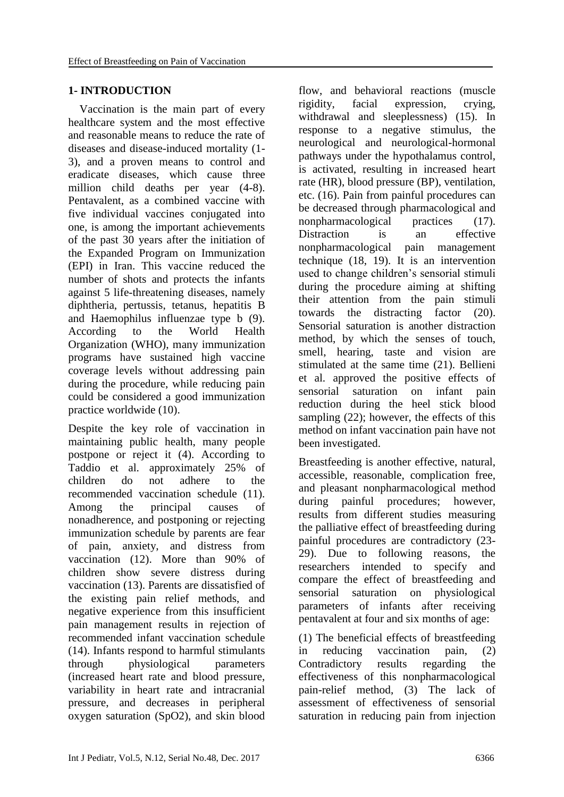## **1- INTRODUCTION**

 Vaccination is the main part of every healthcare system and the most effective and reasonable means to reduce the rate of diseases and disease-induced mortality (1- 3), and a proven means to control and eradicate diseases, which cause three million child deaths per year (4-8). Pentavalent, as a combined vaccine with five individual vaccines conjugated into one, is among the important achievements of the past 30 years after the initiation of the Expanded Program on Immunization (EPI) in Iran. This vaccine reduced the number of shots and protects the infants against 5 life-threatening diseases, namely diphtheria, pertussis, tetanus, hepatitis B and Haemophilus influenzae type b (9). According to the World Health Organization (WHO), many immunization programs have sustained high vaccine coverage levels without addressing pain during the procedure, while reducing pain could be considered a good immunization practice worldwide (10).

Despite the key role of vaccination in maintaining public health, many people postpone or reject it (4). According to Taddio et al. approximately 25% of children do not adhere to the recommended vaccination schedule (11). Among the principal causes of nonadherence, and postponing or rejecting immunization schedule by parents are fear of pain, anxiety, and distress from vaccination (12). More than 90% of children show severe distress during vaccination (13). Parents are dissatisfied of the existing pain relief methods, and negative experience from this insufficient pain management results in rejection of recommended infant vaccination schedule (14). Infants respond to harmful stimulants through physiological parameters (increased heart rate and blood pressure, variability in heart rate and intracranial pressure, and decreases in peripheral oxygen saturation (SpO2), and skin blood flow, and behavioral reactions (muscle rigidity, facial expression, crying, withdrawal and sleeplessness) (15). In response to a negative stimulus, the neurological and neurological-hormonal pathways under the hypothalamus control, is activated, resulting in increased heart rate (HR), blood pressure (BP), ventilation, etc. (16). Pain from painful procedures can be decreased through pharmacological and nonpharmacological practices (17). Distraction is an effective nonpharmacological pain management technique (18, 19). It is an intervention used to change children's sensorial stimuli during the procedure aiming at shifting their attention from the pain stimuli towards the distracting factor (20). Sensorial saturation is another distraction method, by which the senses of touch, smell, hearing, taste and vision are stimulated at the same time (21). Bellieni et al. approved the positive effects of sensorial saturation on infant pain reduction during the heel stick blood sampling (22); however, the effects of this method on infant vaccination pain have not been investigated.

Breastfeeding is another effective, natural, accessible, reasonable, complication free, and pleasant nonpharmacological method during painful procedures; however, results from different studies measuring the palliative effect of breastfeeding during painful procedures are contradictory (23- 29). Due to following reasons, the researchers intended to specify and compare the effect of breastfeeding and sensorial saturation on physiological parameters of infants after receiving pentavalent at four and six months of age:

(1) The beneficial effects of breastfeeding in reducing vaccination pain, (2) Contradictory results regarding the effectiveness of this nonpharmacological pain-relief method, (3) The lack of assessment of effectiveness of sensorial saturation in reducing pain from injection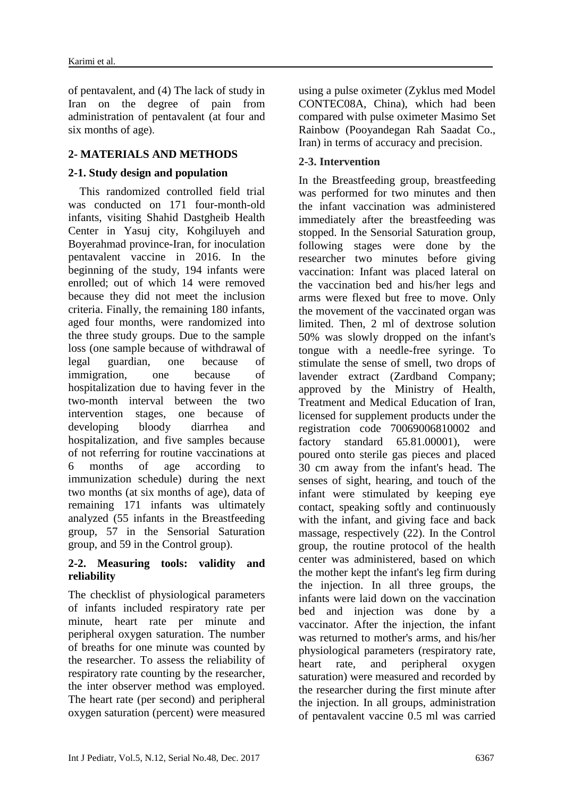of pentavalent, and (4) The lack of study in Iran on the degree of pain from administration of pentavalent (at four and six months of age).

# **2- MATERIALS AND METHODS**

### **2-1. Study design and population**

 This randomized controlled field trial was conducted on 171 four-month-old infants, visiting Shahid Dastgheib Health Center in Yasuj city, Kohgiluyeh and Boyerahmad province-Iran, for inoculation pentavalent vaccine in 2016. In the beginning of the study, 194 infants were enrolled; out of which 14 were removed because they did not meet the inclusion criteria. Finally, the remaining 180 infants, aged four months, were randomized into the three study groups. Due to the sample loss (one sample because of withdrawal of legal guardian, one because of immigration, one because of hospitalization due to having fever in the two-month interval between the two intervention stages, one because of developing bloody diarrhea and hospitalization, and five samples because of not referring for routine vaccinations at 6 months of age according to immunization schedule) during the next two months (at six months of age), data of remaining 171 infants was ultimately analyzed (55 infants in the Breastfeeding group, 57 in the Sensorial Saturation group, and 59 in the Control group).

### **2-2. Measuring tools: validity and reliability**

The checklist of physiological parameters of infants included respiratory rate per minute, heart rate per minute and peripheral oxygen saturation. The number of breaths for one minute was counted by the researcher. To assess the reliability of respiratory rate counting by the researcher, the inter observer method was employed. The heart rate (per second) and peripheral oxygen saturation (percent) were measured using a pulse oximeter (Zyklus med Model CONTEC08A, China), which had been compared with pulse oximeter Masimo Set Rainbow (Pooyandegan Rah Saadat Co., Iran) in terms of accuracy and precision.

# **2-3. Intervention**

In the Breastfeeding group, breastfeeding was performed for two minutes and then the infant vaccination was administered immediately after the breastfeeding was stopped. In the Sensorial Saturation group, following stages were done by the researcher two minutes before giving vaccination: Infant was placed lateral on the vaccination bed and his/her legs and arms were flexed but free to move. Only the movement of the vaccinated organ was limited. Then, 2 ml of dextrose solution 50% was slowly dropped on the infant's tongue with a needle-free syringe. To stimulate the sense of smell, two drops of lavender extract (Zardband Company; approved by the Ministry of Health, Treatment and Medical Education of Iran, licensed for supplement products under the registration code 70069006810002 and factory standard 65.81.00001), were poured onto sterile gas pieces and placed 30 cm away from the infant's head. The senses of sight, hearing, and touch of the infant were stimulated by keeping eye contact, speaking softly and continuously with the infant, and giving face and back massage, respectively (22). In the Control group, the routine protocol of the health center was administered, based on which the mother kept the infant's leg firm during the injection. In all three groups, the infants were laid down on the vaccination bed and injection was done by a vaccinator. After the injection, the infant was returned to mother's arms, and his/her physiological parameters (respiratory rate, heart rate, and peripheral oxygen saturation) were measured and recorded by the researcher during the first minute after the injection. In all groups, administration of pentavalent vaccine 0.5 ml was carried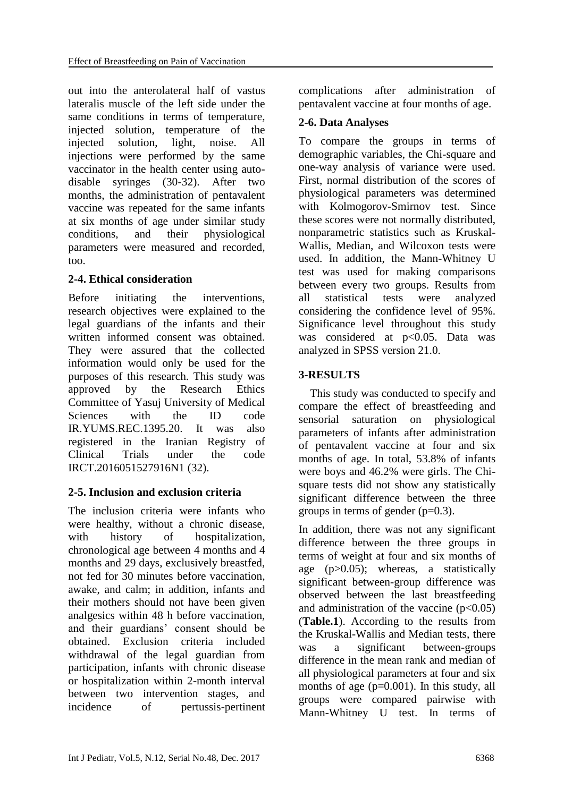out into the anterolateral half of vastus lateralis muscle of the left side under the same conditions in terms of temperature, injected solution, temperature of the injected solution, light, noise. All injections were performed by the same vaccinator in the health center using autodisable syringes (30-32). After two months, the administration of pentavalent vaccine was repeated for the same infants at six months of age under similar study conditions, and their physiological parameters were measured and recorded, too.

### **2-4. Ethical consideration**

Before initiating the interventions, research objectives were explained to the legal guardians of the infants and their written informed consent was obtained. They were assured that the collected information would only be used for the purposes of this research. This study was approved by the Research Ethics Committee of Yasuj University of Medical Sciences with the ID code IR.YUMS.REC.1395.20. It was also registered in the Iranian Registry of Clinical Trials under the code IRCT.2016051527916N1 (32).

# **2-5. Inclusion and exclusion criteria**

The inclusion criteria were infants who were healthy, without a chronic disease, with history of hospitalization, chronological age between 4 months and 4 months and 29 days, exclusively breastfed, not fed for 30 minutes before vaccination, awake, and calm; in addition, infants and their mothers should not have been given analgesics within 48 h before vaccination, and their guardians' consent should be obtained. Exclusion criteria included withdrawal of the legal guardian from participation, infants with chronic disease or hospitalization within 2-month interval between two intervention stages, and incidence of pertussis-pertinent complications after administration of pentavalent vaccine at four months of age.

# **2-6. Data Analyses**

To compare the groups in terms of demographic variables, the Chi-square and one-way analysis of variance were used. First, normal distribution of the scores of physiological parameters was determined with Kolmogorov-Smirnov test. Since these scores were not normally distributed, nonparametric statistics such as Kruskal-Wallis, Median, and Wilcoxon tests were used. In addition, the Mann-Whitney U test was used for making comparisons between every two groups. Results from all statistical tests were analyzed considering the confidence level of 95%. Significance level throughout this study was considered at p<0.05. Data was analyzed in SPSS version 21.0.

### **3-RESULTS**

 This study was conducted to specify and compare the effect of breastfeeding and sensorial saturation on physiological parameters of infants after administration of pentavalent vaccine at four and six months of age. In total, 53.8% of infants were boys and 46.2% were girls. The Chisquare tests did not show any statistically significant difference between the three groups in terms of gender  $(p=0.3)$ .

In addition, there was not any significant difference between the three groups in terms of weight at four and six months of age (p>0.05); whereas, a statistically significant between-group difference was observed between the last breastfeeding and administration of the vaccine  $(p<0.05)$ (**Table.1**). According to the results from the Kruskal-Wallis and Median tests, there was a significant between-groups difference in the mean rank and median of all physiological parameters at four and six months of age ( $p=0.001$ ). In this study, all groups were compared pairwise with Mann-Whitney U test. In terms of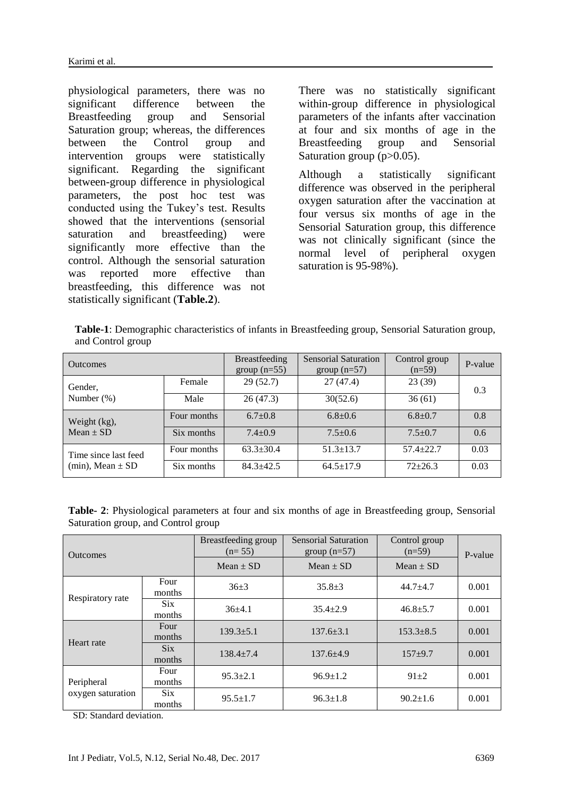physiological parameters, there was no significant difference between the Breastfeeding group and Sensorial Saturation group; whereas, the differences between the Control group and intervention groups were statistically significant. Regarding the significant between-group difference in physiological parameters, the post hoc test was conducted using the Tukey's test. Results showed that the interventions (sensorial saturation and breastfeeding) were significantly more effective than the control. Although the sensorial saturation was reported more effective than breastfeeding, this difference was not statistically significant (**Table.2**).

There was no statistically significant within-group difference in physiological parameters of the infants after vaccination at four and six months of age in the Breastfeeding group and Sensorial Saturation group (p>0.05).

Although a statistically significant difference was observed in the peripheral oxygen saturation after the vaccination at four versus six months of age in the Sensorial Saturation group, this difference was not clinically significant (since the normal level of peripheral oxygen saturation is 95-98%).

**Table-1**: Demographic characteristics of infants in Breastfeeding group, Sensorial Saturation group, and Control group

| <b>Outcomes</b>                                 |             | <b>Breastfeeding</b><br>group $(n=55)$ | Sensorial Saturation<br>group $(n=57)$ | Control group<br>$(n=59)$ | P-value       |
|-------------------------------------------------|-------------|----------------------------------------|----------------------------------------|---------------------------|---------------|
| Gender,<br>Number $(\%)$                        | Female      | 29(52.7)                               | 27(47.4)                               | 23(39)                    | 0.3           |
|                                                 | Male        | 26(47.3)                               | 30(52.6)                               | 36(61)                    |               |
| Weight (kg),<br>$Mean \pm SD$                   | Four months | $6.7+0.8$                              | $6.8 + 0.6$                            | $6.8 + 0.7$               | 0.8           |
|                                                 | Six months  | $7.4 + 0.9$                            | $7.5+0.6$                              | $7.5 + 0.7$               | $0.6^{\circ}$ |
| Time since last feed<br>$(min)$ , Mean $\pm$ SD | Four months | $63.3 \pm 30.4$                        | $51.3 \pm 13.7$                        | $57.4 + 22.7$             | 0.03          |
|                                                 | Six months  | $84.3 + 42.5$                          | $64.5 \pm 17.9$                        | $72 + 26.3$               | 0.03          |

**Table- 2**: Physiological parameters at four and six months of age in Breastfeeding group, Sensorial Saturation group, and Control group

| <b>Outcomes</b>                 |                                   | Breastfeeding group<br>$(n=55)$ | Sensorial Saturation<br>group $(n=57)$ | Control group<br>$(n=59)$ | P-value |
|---------------------------------|-----------------------------------|---------------------------------|----------------------------------------|---------------------------|---------|
|                                 |                                   | $Mean \pm SD$                   | Mean $\pm$ SD                          | $Mean \pm SD$             |         |
| Respiratory rate                | Four<br>months                    | $36+3$                          | $35.8 \pm 3$                           | $44.7 + 4.7$              | 0.001   |
|                                 | <b>Six</b><br>months              | $36+4.1$                        | $35.4 \pm 2.9$                         | $46.8 \pm 5.7$            | 0.001   |
| Heart rate                      | Four<br>months                    | $139.3 \pm 5.1$                 | $137.6 \pm 3.1$                        | $153.3 \pm 8.5$           | 0.001   |
|                                 | $\overline{\text{Six}}$<br>months | $138.4 \pm 7.4$                 | $137.6 \pm 4.9$                        | $157+9.7$                 | 0.001   |
| Peripheral<br>oxygen saturation | Four<br>months                    | $95.3 \pm 2.1$                  | $96.9 \pm 1.2$                         | $91 + 2$                  | 0.001   |
|                                 | <b>Six</b><br>months              | $95.5 \pm 1.7$                  | $96.3 \pm 1.8$                         | $90.2 \pm 1.6$            | 0.001   |

SD: Standard deviation.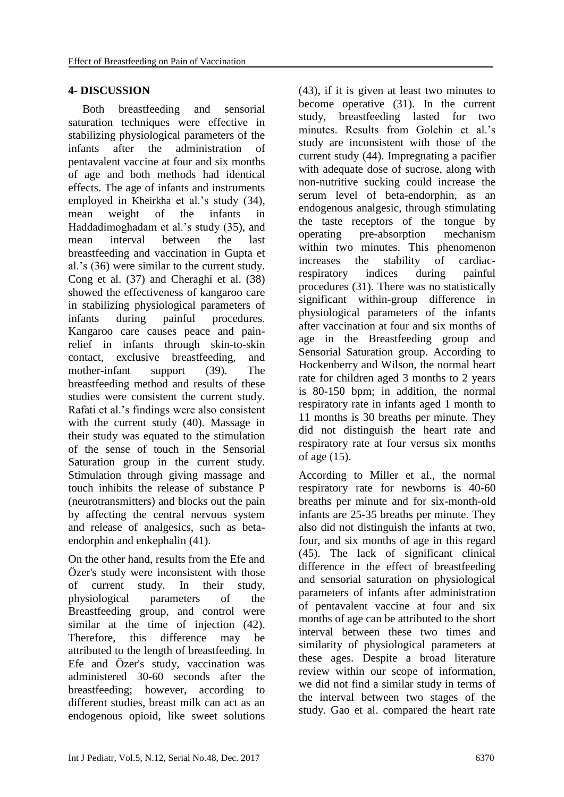### **4- DISCUSSION**

 Both breastfeeding and sensorial saturation techniques were effective in stabilizing physiological parameters of the infants after the administration of pentavalent vaccine at four and six months of age and both methods had identical effects. The age of infants and instruments employed in Kheirkha et al.'s study (34), mean weight of the infants in Haddadimoghadam et al.'s study (35), and mean interval between the last breastfeeding and vaccination in Gupta et al.'s (36) were similar to the current study. Cong et al. (37) and Cheraghi et al. (38) showed the effectiveness of kangaroo care in stabilizing physiological parameters of infants during painful procedures. Kangaroo care causes peace and painrelief in infants through skin-to-skin contact, exclusive breastfeeding, and mother-infant support (39). The breastfeeding method and results of these studies were consistent the current study. Rafati et al.'s findings were also consistent with the current study (40). Massage in their study was equated to the stimulation of the sense of touch in the Sensorial Saturation group in the current study. Stimulation through giving massage and touch inhibits the release of substance P (neurotransmitters) and blocks out the pain by affecting the central nervous system and release of analgesics, such as betaendorphin and enkephalin (41).

On the other hand, results from the Efe and Özer's study were inconsistent with those of current study. In their study, physiological parameters of the Breastfeeding group, and control were similar at the time of injection  $(42)$ . Therefore, this difference may be attributed to the length of breastfeeding. In Efe and Özer's study, vaccination was administered 30-60 seconds after the breastfeeding; however, according to different studies, breast milk can act as an endogenous opioid, like sweet solutions (43), if it is given at least two minutes to become operative (31). In the current study, breastfeeding lasted for two minutes. Results from Golchin et al.'s study are inconsistent with those of the current study (44). Impregnating a pacifier with adequate dose of sucrose, along with non-nutritive sucking could increase the serum level of beta-endorphin, as an endogenous analgesic, through stimulating the taste receptors of the tongue by operating pre-absorption mechanism within two minutes. This phenomenon increases the stability of cardiacrespiratory indices during painful procedures (31). There was no statistically significant within-group difference in physiological parameters of the infants after vaccination at four and six months of age in the Breastfeeding group and Sensorial Saturation group. According to Hockenberry and Wilson, the normal heart rate for children aged 3 months to 2 years is 80-150 bpm; in addition, the normal respiratory rate in infants aged 1 month to 11 months is 30 breaths per minute. They did not distinguish the heart rate and respiratory rate at four versus six months of age (15).

According to Miller et al., the normal respiratory rate for newborns is 40-60 breaths per minute and for six-month-old infants are 25-35 breaths per minute. They also did not distinguish the infants at two, four, and six months of age in this regard (45). The lack of significant clinical difference in the effect of breastfeeding and sensorial saturation on physiological parameters of infants after administration of pentavalent vaccine at four and six months of age can be attributed to the short interval between these two times and similarity of physiological parameters at these ages. Despite a broad literature review within our scope of information, we did not find a similar study in terms of the interval between two stages of the study. Gao et al. compared the heart rate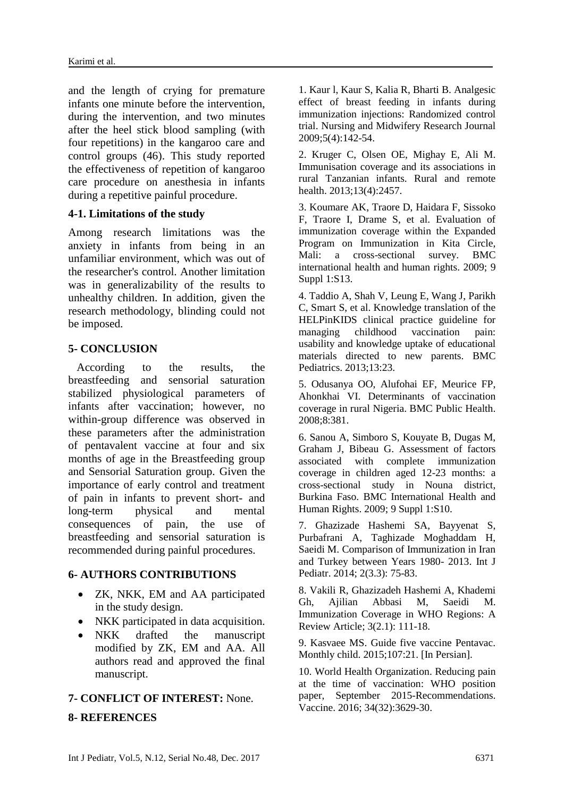and the length of crying for premature infants one minute before the intervention, during the intervention, and two minutes after the heel stick blood sampling (with four repetitions) in the kangaroo care and control groups (46). This study reported the effectiveness of repetition of kangaroo care procedure on anesthesia in infants during a repetitive painful procedure.

### **4-1. Limitations of the study**

Among research limitations was the anxiety in infants from being in an unfamiliar environment, which was out of the researcher's control. Another limitation was in generalizability of the results to unhealthy children. In addition, given the research methodology, blinding could not be imposed.

### **5- CONCLUSION**

 According to the results, the breastfeeding and sensorial saturation stabilized physiological parameters of infants after vaccination; however, no within-group difference was observed in these parameters after the administration of pentavalent vaccine at four and six months of age in the Breastfeeding group and Sensorial Saturation group. Given the importance of early control and treatment of pain in infants to prevent short- and long-term physical and mental consequences of pain, the use of breastfeeding and sensorial saturation is recommended during painful procedures.

### **6- AUTHORS CONTRIBUTIONS**

- ZK, NKK, EM and AA participated in the study design.
- NKK participated in data acquisition.
- NKK drafted the manuscript modified by ZK, EM and AA. All authors read and approved the final manuscript.

### **7- CONFLICT OF INTEREST:** None.

### **8- REFERENCES**

1. Kaur l, Kaur S, Kalia R, Bharti B. Analgesic effect of breast feeding in infants during immunization injections: Randomized control trial. Nursing and Midwifery Research Journal 2009;5(4):142-54.

2. Kruger C, Olsen OE, Mighay E, Ali M. Immunisation coverage and its associations in rural Tanzanian infants. Rural and remote health. 2013;13(4):2457.

3. Koumare AK, Traore D, Haidara F, Sissoko F, Traore I, Drame S, et al. Evaluation of immunization coverage within the Expanded Program on Immunization in Kita Circle, Mali: a cross-sectional survey. BMC international health and human rights. 2009; 9 Suppl 1:S13.

4. Taddio A, Shah V, Leung E, Wang J, Parikh C, Smart S, et al. Knowledge translation of the HELPinKIDS clinical practice guideline for managing childhood vaccination pain: usability and knowledge uptake of educational materials directed to new parents. BMC Pediatrics. 2013;13:23.

5. Odusanya OO, Alufohai EF, Meurice FP, Ahonkhai VI. Determinants of vaccination coverage in rural Nigeria. BMC Public Health. 2008;8:381.

6. Sanou A, Simboro S, Kouyate B, Dugas M, Graham J, Bibeau G. Assessment of factors associated with complete immunization coverage in children aged 12-23 months: a cross-sectional study in Nouna district, Burkina Faso. BMC International Health and Human Rights. 2009; 9 Suppl 1:S10.

7. Ghazizade Hashemi SA, Bayyenat S, Purbafrani A, Taghizade Moghaddam H, Saeidi M. Comparison of Immunization in Iran and Turkey between Years 1980- 2013. Int J Pediatr. 2014; 2(3.3): 75-83.

8. Vakili R, Ghazizadeh Hashemi A, Khademi Gh, Ajilian Abbasi M, Saeidi M. Immunization Coverage in WHO Regions: A Review Article; 3(2.1): 111-18.

9. Kasvaee MS. Guide five vaccine Pentavac. Monthly child. 2015;107:21. [In Persian].

10. World Health Organization. Reducing pain at the time of vaccination: WHO position paper, September 2015-Recommendations. Vaccine. 2016; 34(32):3629-30.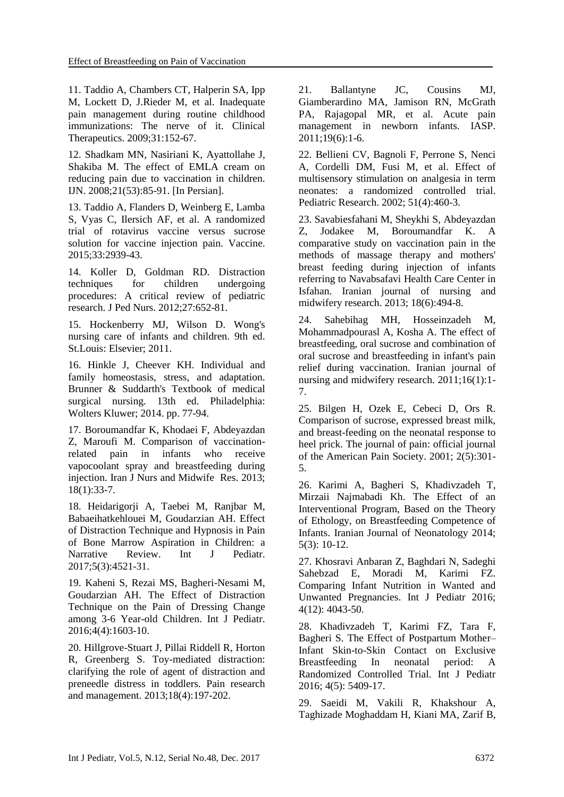11. Taddio A, Chambers CT, Halperin SA, Ipp M, Lockett D, J.Rieder M, et al. Inadequate pain management during routine childhood immunizations: The nerve of it. Clinical Therapeutics. 2009;31:152-67.

12. Shadkam MN, Nasiriani K, Ayattollahe J, Shakiba M. The effect of EMLA cream on reducing pain due to vaccination in children. IJN. 2008;21(53):85-91. [In Persian].

13. Taddio A, Flanders D, Weinberg E, Lamba S, Vyas C, Ilersich AF, et al. A randomized trial of rotavirus vaccine versus sucrose solution for vaccine injection pain. Vaccine. 2015;33:2939-43.

14. Koller D, Goldman RD. Distraction techniques for children undergoing procedures: A critical review of pediatric research. J Ped Nurs. 2012;27:652-81.

15. Hockenberry MJ, Wilson D. Wong's nursing care of infants and children. 9th ed. St.Louis: Elsevier; 2011.

16. Hinkle J, Cheever KH. Individual and family homeostasis, stress, and adaptation. Brunner & Suddarth's Textbook of medical surgical nursing. 13th ed. Philadelphia: Wolters Kluwer; 2014. pp. 77-94.

17. Boroumandfar K, Khodaei F, Abdeyazdan Z, Maroufi M. Comparison of vaccinationrelated pain in infants who receive vapocoolant spray and breastfeeding during injection. Iran J Nurs and Midwife Res. 2013; 18(1):33-7.

18. Heidarigorji A, Taebei M, Ranjbar M, Babaeihatkehlouei M, Goudarzian AH. Effect of Distraction Technique and Hypnosis in Pain of Bone Marrow Aspiration in Children: a Narrative Review. Int J Pediatr. 2017;5(3):4521-31.

19. Kaheni S, Rezai MS, Bagheri-Nesami M, Goudarzian AH. The Effect of Distraction Technique on the Pain of Dressing Change among 3-6 Year-old Children. Int J Pediatr. 2016;4(4):1603-10.

20. Hillgrove-Stuart J, Pillai Riddell R, Horton R, Greenberg S. Toy-mediated distraction: clarifying the role of agent of distraction and preneedle distress in toddlers. Pain research and management. 2013;18(4):197-202.

21. Ballantyne JC, Cousins MJ, Giamberardino MA, Jamison RN, McGrath PA, Rajagopal MR, et al. Acute pain management in newborn infants. IASP. 2011;19(6):1-6.

22. Bellieni CV, Bagnoli F, Perrone S, Nenci A, Cordelli DM, Fusi M, et al. Effect of multisensory stimulation on analgesia in term neonates: a randomized controlled trial. Pediatric Research. 2002; 51(4):460-3.

23. Savabiesfahani M, Sheykhi S, Abdeyazdan Z, Jodakee M, Boroumandfar K. A comparative study on vaccination pain in the methods of massage therapy and mothers' breast feeding during injection of infants referring to Navabsafavi Health Care Center in Isfahan. Iranian journal of nursing and midwifery research. 2013; 18(6):494-8.

24. Sahebihag MH, Hosseinzadeh M, Mohammadpourasl A, Kosha A. The effect of breastfeeding, oral sucrose and combination of oral sucrose and breastfeeding in infant's pain relief during vaccination. Iranian journal of nursing and midwifery research. 2011;16(1):1- 7.

25. Bilgen H, Ozek E, Cebeci D, Ors R. Comparison of sucrose, expressed breast milk, and breast-feeding on the neonatal response to heel prick. The journal of pain: official journal of the American Pain Society. 2001; 2(5):301- 5.

26. Karimi A, Bagheri S, Khadivzadeh T, Mirzaii Najmabadi Kh. The Effect of an Interventional Program, Based on the Theory of Ethology, on Breastfeeding Competence of Infants. Iranian Journal of Neonatology 2014; 5(3): 10-12.

27. Khosravi Anbaran Z, Baghdari N, Sadeghi Sahebzad E, Moradi M, Karimi FZ. Comparing Infant Nutrition in Wanted and Unwanted Pregnancies. Int J Pediatr 2016; 4(12): 4043-50.

28. Khadivzadeh T, Karimi FZ, Tara F, Bagheri S. The Effect of Postpartum Mother– Infant Skin-to-Skin Contact on Exclusive Breastfeeding In neonatal period: A Randomized Controlled Trial. Int J Pediatr 2016; 4(5): 5409-17.

29. [Saeidi M,](https://www.scopus.com/authid/detail.uri?authorId=55927110500&eid=2-s2.0-85006924985) [Vakili R,](https://www.scopus.com/authid/detail.uri?authorId=55966390700&eid=2-s2.0-85006924985) [Khakshour A,](https://www.scopus.com/authid/detail.uri?authorId=55550328600&eid=2-s2.0-85006924985)  Taghizade [Moghaddam H,](https://www.scopus.com/authid/detail.uri?authorId=57192586132&eid=2-s2.0-85006924985) [Kiani MA,](https://www.scopus.com/authid/detail.uri?authorId=54683993700&eid=2-s2.0-85006924985) [Zarif B,](https://www.scopus.com/authid/detail.uri?authorId=57192586817&eid=2-s2.0-85006924985)